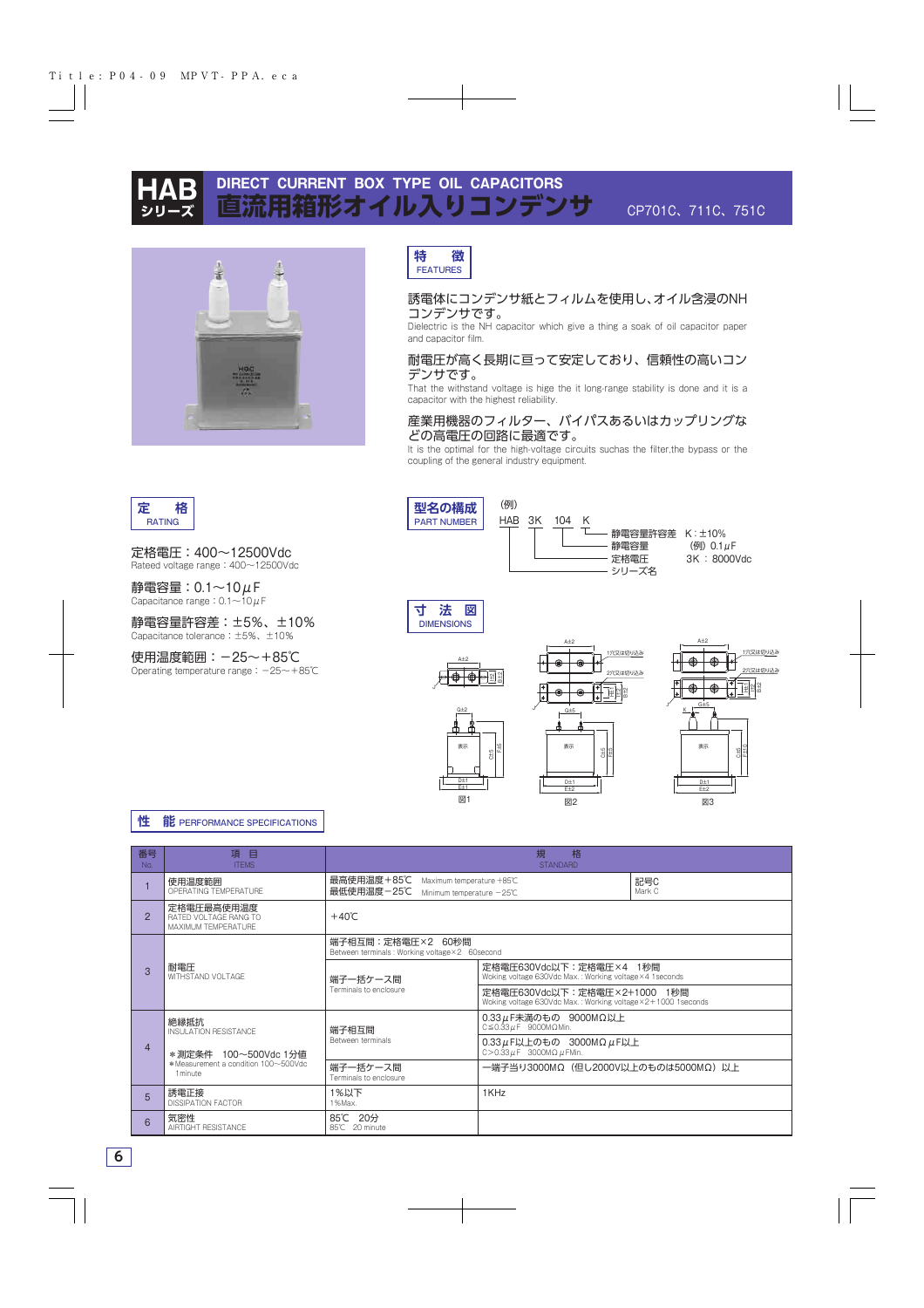

**定 格** RATING

# **DIRECT CURRENT BOX TYPE OIL CAPACITORS |箱形オイル入りコンデンサ**



**特 徴** FEATURES

### 誘電体にコンデンサ紙とフィルムを使用し、オイル含浸のNH コンデンサです。

Dielectric is the NH capacitor which give a thing a soak of oil capacitor paper and capacitor film.

### 耐電圧が高く長期に亘って安定しており、信頼性の高いコン デンサです。

That the withstand voltage is hige the it long-range stability is done and it is a capacitor with the highest reliability.

### 産業用機器のフィルター、バイパスあるいはカップリングな どの高電圧の回路に最適です。

It is the optimal for the high-voltage circuits suchas the filter,the bypass or the coupling of the general industry equipment.



## **性 能** PERFORMANCE SPECIFICATIONS

| 番号<br>No.      | 項目<br><b>ITFMS</b>                                                      | 格<br>規<br><b>STANDARD</b>                                                                   |                                                                                                |               |  |  |  |  |  |  |
|----------------|-------------------------------------------------------------------------|---------------------------------------------------------------------------------------------|------------------------------------------------------------------------------------------------|---------------|--|--|--|--|--|--|
|                | 使用温度範囲<br>OPERATING TEMPERATURE                                         | 最高使用温度+85℃<br>Maximum temperature +85℃<br>最低使用温度-25℃<br>Minimum temperature $-25^{\circ}$ C |                                                                                                | 記号C<br>Mark C |  |  |  |  |  |  |
| 2              | 定格電圧最高使用温度<br>RATED VOLTAGE RANG TO<br>MAXIMUM TEMPERATURE              | $+40^{\circ}$ C                                                                             |                                                                                                |               |  |  |  |  |  |  |
| $\mathcal{S}$  | 耐電圧<br>WITHSTAND VOI TAGF                                               | 端子相互間:定格電圧×2 60秒間<br>Between terminals: Working voltage×2 60second                          |                                                                                                |               |  |  |  |  |  |  |
|                |                                                                         | 端子一括ケース間                                                                                    | 定格電圧630Vdc以下:定格電圧×4 1秒間<br>Woking voltage 630Vdc Max.: Working voltage×4 1seconds              |               |  |  |  |  |  |  |
|                |                                                                         | Terminals to enclosure                                                                      | 定格電圧630Vdc以下:定格電圧×2+1000 1秒間<br>Woking voltage 630Vdc Max.: Working voltage × 2+1000 1 seconds |               |  |  |  |  |  |  |
| $\overline{4}$ | 絶縁抵抗<br><b>INSULATION RESISTANCE</b>                                    | 端子相互間                                                                                       | 0.33μF未満のもの 9000MΩ以上<br>$C \le 0.33 \mu F$ 9000M $\Omega$ Min.                                 |               |  |  |  |  |  |  |
|                | *測定条件 100~500Vdc 1分値<br>*Measurement a condition 100~500Vdc<br>1 minute | Between terminals                                                                           | $0.33 \mu$ F以上のもの 3000MΩ $\mu$ F以上<br>C > 0.33 $\mu$ F 3000M $\Omega$ $\mu$ FM in.             |               |  |  |  |  |  |  |
|                |                                                                         | 端子一括ケース間<br>Terminals to enclosure                                                          | 一端子当り3000MΩ (但し2000V以上のものは5000MΩ) 以上                                                           |               |  |  |  |  |  |  |
| 5              | 誘電正接<br><b>DISSIPATION FACTOR</b>                                       | 1%以下<br>1%Max.                                                                              | 1KHz                                                                                           |               |  |  |  |  |  |  |
| 6              | 気密性<br>AIRTIGHT RESISTANCE                                              | 85℃ 20分<br>85℃ 20 minute                                                                    |                                                                                                |               |  |  |  |  |  |  |